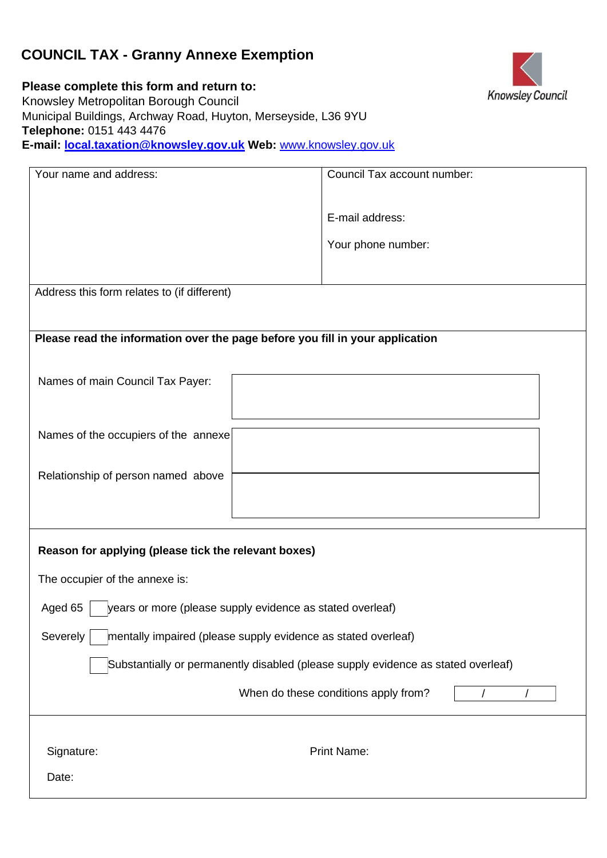# **COUNCIL TAX - Granny Annexe Exemption**



**Please complete this form and return to:**  Knowsley Metropolitan Borough Council Municipal Buildings, Archway Road, Huyton, Merseyside, L36 9YU **Telephone:** 0151 443 4476 **E-mail: local.taxation@knowsley.gov.uk Web:** [www.knowsley.gov.uk](http://www.knowsley.gov.uk/) 

| Your name and address:                                                            | Council Tax account number:          |
|-----------------------------------------------------------------------------------|--------------------------------------|
|                                                                                   |                                      |
|                                                                                   | E-mail address:                      |
|                                                                                   | Your phone number:                   |
|                                                                                   |                                      |
| Address this form relates to (if different)                                       |                                      |
|                                                                                   |                                      |
| Please read the information over the page before you fill in your application     |                                      |
|                                                                                   |                                      |
| Names of main Council Tax Payer:                                                  |                                      |
|                                                                                   |                                      |
| Names of the occupiers of the annexe                                              |                                      |
|                                                                                   |                                      |
| Relationship of person named above                                                |                                      |
|                                                                                   |                                      |
|                                                                                   |                                      |
| Reason for applying (please tick the relevant boxes)                              |                                      |
| The occupier of the annexe is:                                                    |                                      |
|                                                                                   |                                      |
| Aged 65<br>years or more (please supply evidence as stated overleaf)              |                                      |
| Severely<br>mentally impaired (please supply evidence as stated overleaf)         |                                      |
| Substantially or permanently disabled (please supply evidence as stated overleaf) |                                      |
|                                                                                   | When do these conditions apply from? |
|                                                                                   |                                      |
| Signature:                                                                        | <b>Print Name:</b>                   |
| Date:                                                                             |                                      |
|                                                                                   |                                      |